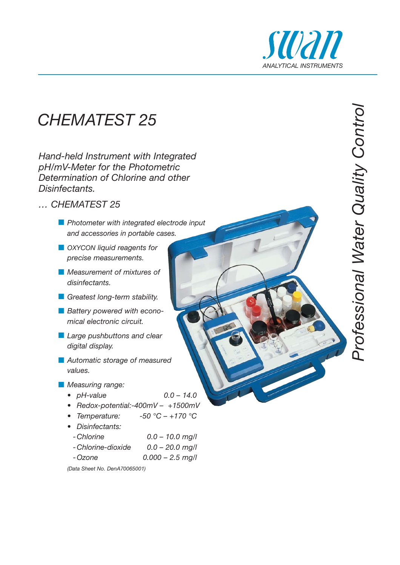

*Professional Water Quality Control*

Professional Water Quality Control

### *CHEMATEST 25*

*Hand-held Instrument with Integrated pH/mV-Meter for the Photometric Determination of Chlorine and other Disinfectants.* 

- *… CHEMATEST 25*
	- *Photometer with integrated electrode input and accessories in portable cases.*
	- $\blacksquare$  OXYCON liquid reagents for *precise measurements.*
	- *Measurement of mixtures of disinfectants.*
	- *<u></u> Greatest long-term stability.*
	- **Battery powered with econo***mical electronic circuit.*
	- *Large pushbuttons and clear digital display.*
	- *Automatic storage of measured values.*
	- *Measuring range:*
		- *pH-value 0.0 14.0*
		- *Redox-potential:-400mV +1500mV*
		- *Temperature: -50 °C +170 °C*
		- *Disinfectants:*
		- *-Chlorine 0.0 10.0 mg/l*
		- *-Chlorine-dioxide 0.0 20.0 mg/l*
		- *-Ozone 0.000 2.5 mg/l*

*(Data Sheet No. DenA70065001)*